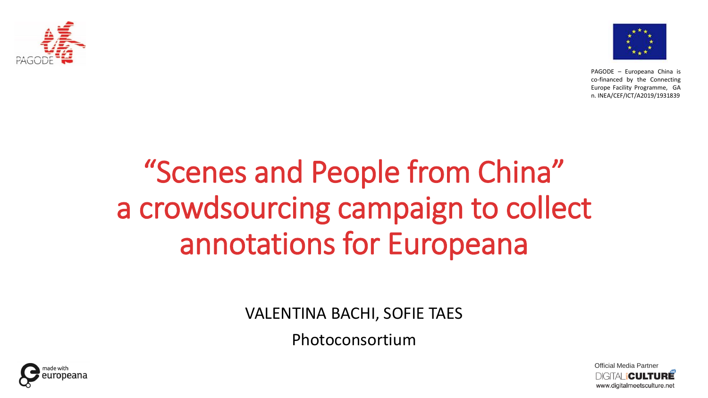



# "Scenes and People from China" a crowdsourcing campaign to collect annotations for Europeana

VALENTINA BACHI, SOFIE TAES

Photoconsortium



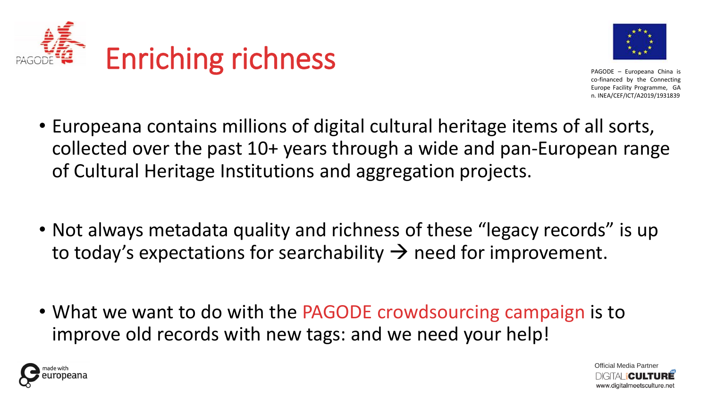



- Europeana contains millions of digital cultural heritage items of all sorts, collected over the past 10+ years through a wide and pan-European range of Cultural Heritage Institutions and aggregation projects.
- Not always metadata quality and richness of these "legacy records" is up to today's expectations for searchability  $\rightarrow$  need for improvement.
- What we want to do with the PAGODE crowdsourcing campaign is to improve old records with new tags: and we need your help!



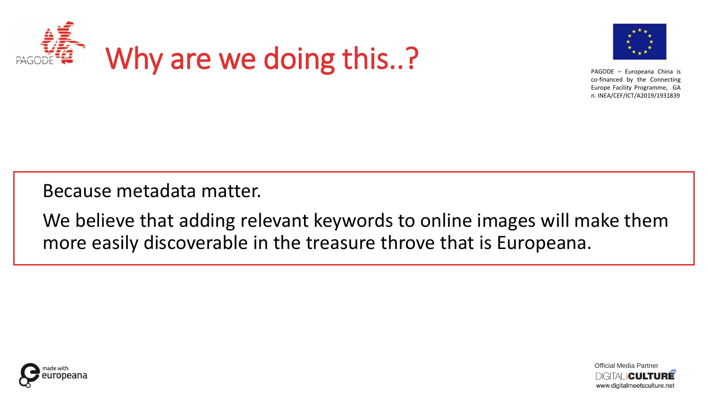



Because metadata matter.

We believe that adding relevant keywords to online images will make them more easily discoverable in the treasure throve that is Europeana.



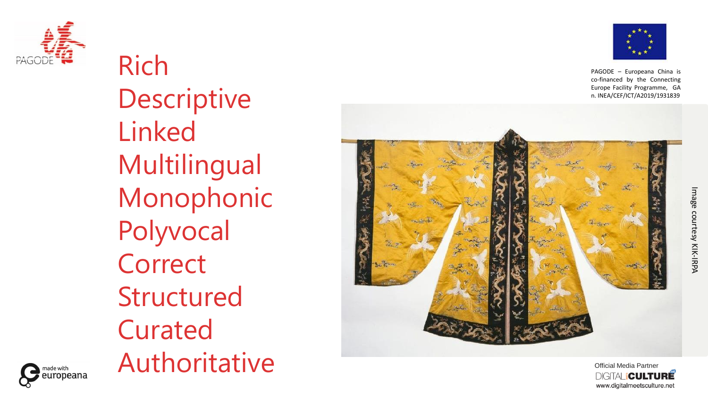

Rich Descriptive Linked Multilingual Monophonic Polyvocal **Correct** Structured Curated Authoritative



PAGODE – Europeana China is co -financed by the Connecting Europe Facility Programme, GA n. INEA/CEF/ICT/A2019/1931839





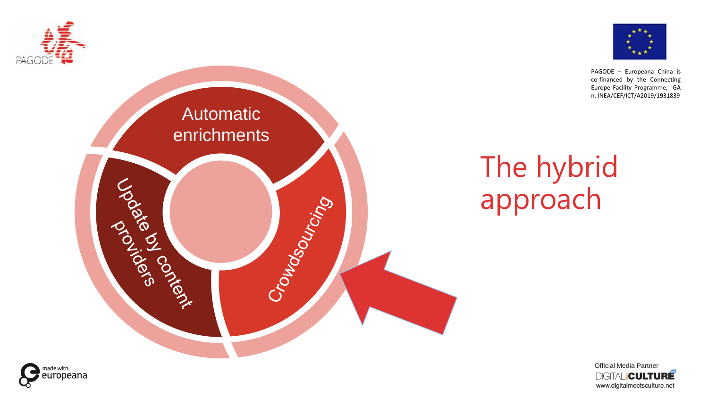

Automatic

enrichments

Crowdsourisma

Joseph Richer



PAGODE – Europeana China is co-financed by the Connecting Europe Facility Programme, GA n. INEA/CEF/ICT/A2019/1931839

## The hybrid approach



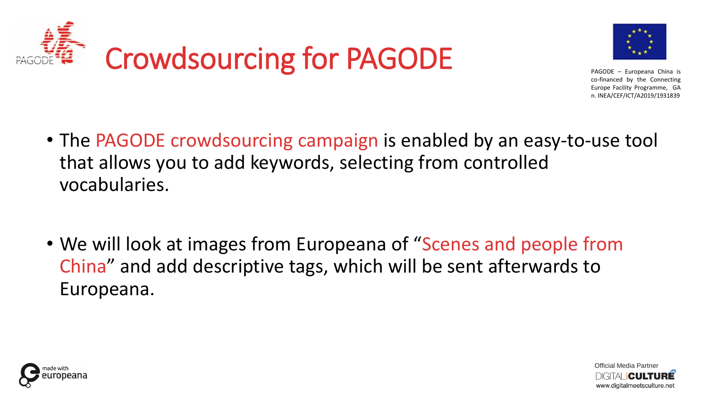



- The PAGODE crowdsourcing campaign is enabled by an easy-to-use tool that allows you to add keywords, selecting from controlled vocabularies.
- We will look at images from Europeana of "Scenes and people from China" and add descriptive tags, which will be sent afterwards to Europeana.



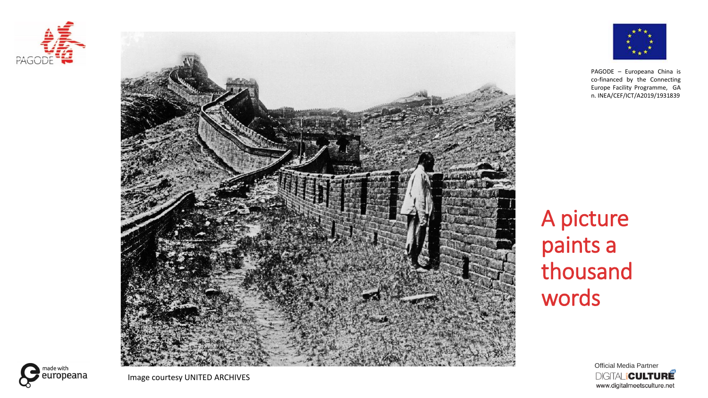





A picture paints a thousand words

> Official Media Partner **DIGITAL CULTURE** www.digitalmeetsculture.net

europeana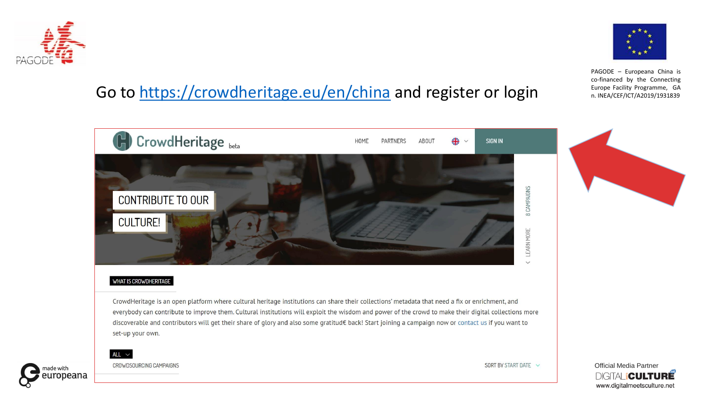

## Go to<https://crowdheritage.eu/en/china> and register or login Europe Facility Programme, GA



#### WHAT IS CROWDHERITAGE

CrowdHeritage is an open platform where cultural heritage institutions can share their collections' metadata that need a fix or enrichment, and everybody can contribute to improve them. Cultural institutions will exploit the wisdom and power of the crowd to make their digital collections more discoverable and contributors will get their share of glory and also some gratitud€ back! Start joining a campaign now or contact us if you want to set-up your own.



CROWDSOURCING CAMPAIGNS

ALL  $\sim$ 





PAGODE – Europeana China is co-financed by the Connecting

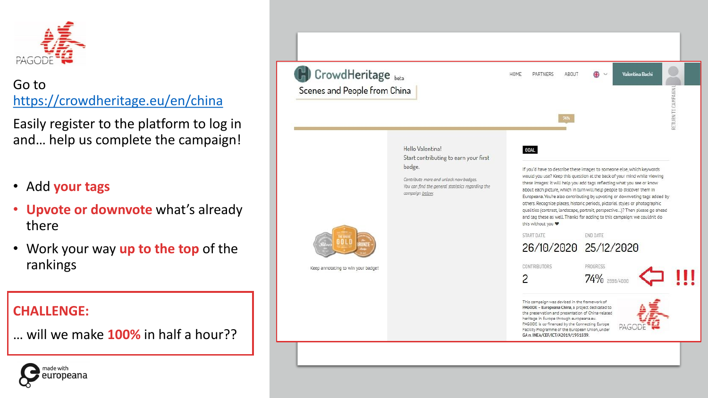

## Go to <https://crowdheritage.eu/en/china>

Easily register to the platform to log in and… help us complete the campaign!

- Add **your tags**
- **Upvote or downvote** what's already there
- Work your way **up to the top** of the rankings

### **CHALLENGE:**

… will we make **100%** in half a hour??